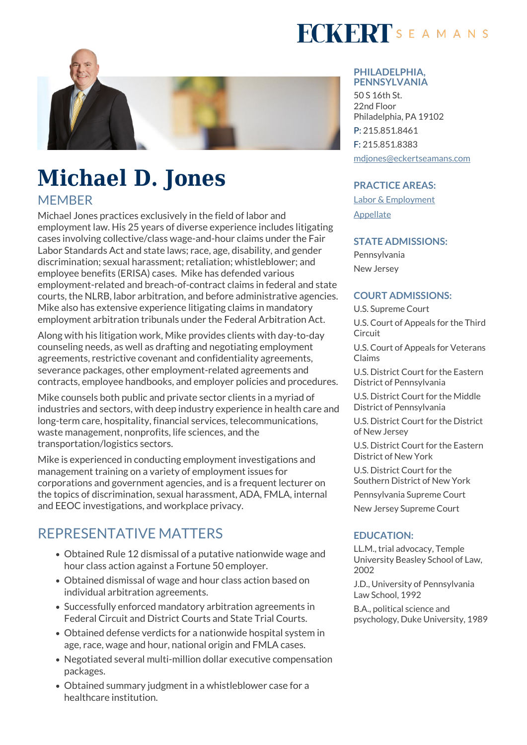

# **Michael D. Jones MEMBER**

Michael Jones practices exclusively in the field of labor and employment law. His 25 years of diverse experience includes litigating cases involving collective/class wage-and-hour claims under the Fair Labor Standards Act and state laws; race, age, disability, and gender discrimination; sexual harassment; retaliation; whistleblower; and employee benefits (ERISA) cases. Mike has defended various employment-related and breach-of-contract claims in federal and state courts, the NLRB, labor arbitration, and before administrative agencies. Mike also has extensive experience litigating claims in mandatory employment arbitration tribunals under the Federal Arbitration Act.

Along with his litigation work, Mike provides clients with day-to-day counseling needs, as well as drafting and negotiating employment agreements, restrictive covenant and confidentiality agreements, severance packages, other employment-related agreements and contracts, employee handbooks, and employer policies and procedures.

Mike counsels both public and private sector clients in a myriad of industries and sectors, with deep industry experience in health care and long-term care, hospitality, financial services, telecommunications, waste management, nonprofits, life sciences, and the transportation/logistics sectors.

Mike is experienced in conducting employment investigations and management training on a variety of employment issues for corporations and government agencies, and is a frequent lecturer on the topics of discrimination, sexual harassment, ADA, FMLA, internal and EEOC investigations, and workplace privacy.

### REPRESENTATIVE MATTERS

- Obtained Rule 12 dismissal of a putative nationwide wage and hour class action against a Fortune 50 employer.
- Obtained dismissal of wage and hour class action based on individual arbitration agreements.
- Successfully enforced mandatory arbitration agreements in Federal Circuit and District Courts and State Trial Courts.
- Obtained defense verdicts for a nationwide hospital system in age, race, wage and hour, national origin and FMLA cases.
- Negotiated several multi-million dollar executive compensation packages.
- Obtained summary judgment in a whistleblower case for a healthcare institution.

# **FCKERT**SEAMANS

#### **PHILADELPHIA, PENNSYLVANIA**

50 S 16th St. 22nd Floor Philadelphia, PA 19102 P: 215.851.8461 F: 215.851.8383 [mdjones@eckertseamans.com](mailto:mdjones@eckertseamans.com)

#### **PRACTICE AREAS:**

[Labor & Employment](https://www.eckertseamans.com/our-practices/labor-employment) [Appellate](https://www.eckertseamans.com/our-practices/appellate)

#### **STATE ADMISSIONS:**

Pennsylvania New Jersey

#### **COURT ADMISSIONS:**

U.S. Supreme Court

U.S. Court of Appeals for the Third Circuit

U.S. Court of Appeals for Veterans Claims

U.S. District Court for the Eastern District of Pennsylvania

U.S. District Court for the Middle District of Pennsylvania

U.S. District Court for the District of New Jersey

U.S. District Court for the Eastern District of New York

U.S. District Court for the Southern District of New York

Pennsylvania Supreme Court

New Jersey Supreme Court

#### **EDUCATION:**

LL.M., trial advocacy, Temple University Beasley School of Law, 2002

J.D., University of Pennsylvania Law School, 1992

B.A., political science and psychology, Duke University, 1989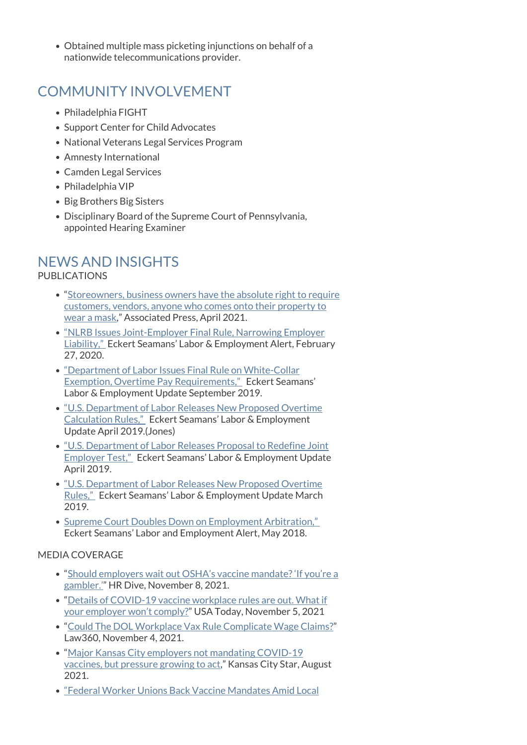Obtained multiple mass picketing injunctions on behalf of a nationwide telecommunications provider.

## COMMUNITY INVOLVEMENT

- Philadelphia FIGHT
- Support Center for Child Advocates
- National Veterans Legal Services Program
- Amnesty International
- Camden Legal Services
- Philadelphia VIP
- Big Brothers Big Sisters
- Disciplinary Board of the Supreme Court of Pennsylvania, appointed Hearing Examiner

## NEWS AND INSIGHTS

PUBLICATIONS

- "[Storeowners, business owners have the absolute right to require](https://apnews.com/article/business-new-york-coronavirus-pandemic-greg-abbott-austin-5632fc40efd36bafb93253adc96e8bf1) [customers, vendors, anyone who comes onto their property to](https://apnews.com/article/business-new-york-coronavirus-pandemic-greg-abbott-austin-5632fc40efd36bafb93253adc96e8bf1) [wear a mask,](https://apnews.com/article/business-new-york-coronavirus-pandemic-greg-abbott-austin-5632fc40efd36bafb93253adc96e8bf1)" Associated Press, April 2021.
- ["NLRB Issues Joint-Employer Final Rule, Narrowing Employer](https://www.eckertseamans.com/legal-updates/nlrb-issues-joint-employer-final-rule-narrowing-employer-liability) [Liability,"](https://www.eckertseamans.com/legal-updates/nlrb-issues-joint-employer-final-rule-narrowing-employer-liability) Eckert Seamans' Labor & Employment Alert, February 27, 2020.
- ["Department of Labor Issues Final Rule on White-Collar](https://www.eckertseamans.com/legal-updates/department-of-labor-issues-final-rule-on-white-collar-exemption-overtime-pay-requirements) [Exemption, Overtime Pay Requirements,"](https://www.eckertseamans.com/legal-updates/department-of-labor-issues-final-rule-on-white-collar-exemption-overtime-pay-requirements) Eckert Seamans' Labor & Employment Update September 2019.
- ["U.S. Department of Labor Releases New Proposed Overtime](https://www.eckertseamans.com/legal-updates/labor-employment-alert-u-s-department-of-labor-releases-new-proposed-overtime-calculation-rules) [Calculation Rules,"](https://www.eckertseamans.com/legal-updates/labor-employment-alert-u-s-department-of-labor-releases-new-proposed-overtime-calculation-rules) Eckert Seamans' Labor & Employment Update April 2019.(Jones)
- ["U.S. Department of Labor Releases Proposal to Redefine Joint](https://www.eckertseamans.com/legal-updates/labor-employment-alert-u-s-department-of-labor-releases-proposal-to-redefine-joint-employer-test) [Employer Test,"](https://www.eckertseamans.com/legal-updates/labor-employment-alert-u-s-department-of-labor-releases-proposal-to-redefine-joint-employer-test) Eckert Seamans' Labor & Employment Update April 2019.
- $\bullet$  ["U.S. Department of Labor Releases New Proposed Overtime](https://www.eckertseamans.com/legal-updates/labor-employment-alert-u-s-department-of-labor-releases-new-proposed-overtime-rules) [Rules,"](https://www.eckertseamans.com/legal-updates/labor-employment-alert-u-s-department-of-labor-releases-new-proposed-overtime-rules) Eckert Seamans' Labor & Employment Update March 2019.
- Supreme Court Doubles Down on Employment Arbitration," Eckert Seamans' Labor and Employment Alert, May 2018.

#### MEDIA COVERAGE

- "[Should employers wait out OSHA's vaccine mandate? 'If you're a](https://www.hrdive.com/news/should-employers-wait-out-oshas-vaccine-mandate-if-youre-a-gambler/609605/) [gambler.'"](https://www.hrdive.com/news/should-employers-wait-out-oshas-vaccine-mandate-if-youre-a-gambler/609605/) HR Dive, November 8, 2021.
- "[Details of COVID-19 vaccine workplace rules are out. What if](https://www.usatoday.com/story/money/2021/11/05/new-covid-19-rules-what-do-you-do-if-your-boss-doesnt-comply/6285692001/) [your employer won't comply?](https://www.usatoday.com/story/money/2021/11/05/new-covid-19-rules-what-do-you-do-if-your-boss-doesnt-comply/6285692001/)" USA Today, November 5, 2021
- "[Could The DOL Workplace Vax Rule Complicate Wage Claims?"](https://www.law360.com/employment-authority/articles/1437840/could-the-dol-workplace-vax-rule-complicate-wage-claims-) Law360, November 4, 2021.
- "[Major Kansas City employers not mandating COVID-19](https://www.kansascity.com/news/coronavirus/article253142308.html) [vaccines, but pressure growing to act](https://www.kansascity.com/news/coronavirus/article253142308.html)," Kansas City Star, August 2021.
- ["Federal Worker Unions Back Vaccine Mandates Amid Local](https://www.bloomberg.com/news/articles/2021-07-28/federal-worker-unions-back-vaccine-mandates-amid-local-backlash)